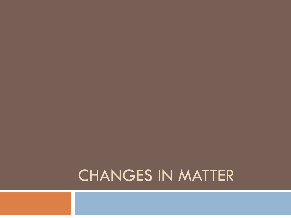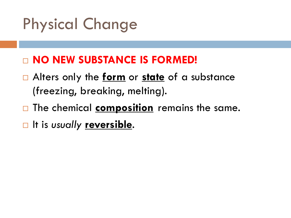# Physical Change

#### **NO NEW SUBSTANCE IS FORMED!**

- Alters only the **form** or **state** of a substance (freezing, breaking, melting).
- □ The chemical **composition** remains the same.
- **□** It is *usually* **<u>reversible</u>**.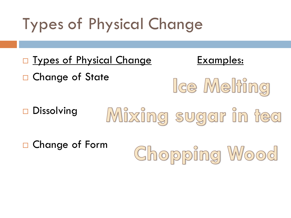### Types of Physical Change

**Types of Physical Change** Examples: □ Change of State Ice Melting Dissolving Mixing sugar in tea Change of FormChopping Wood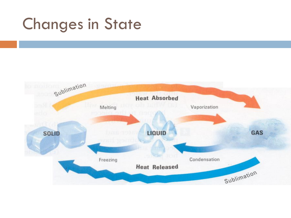### Changes in State

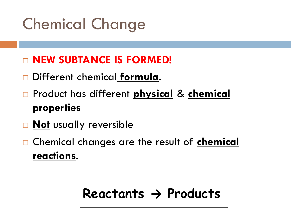# Chemical Change

#### **NEW SUBTANCE IS FORMED!**

- Different chemical **formula**.
- Product has different **physical** & **chemical properties**
- **Not** usually reversible
- Chemical changes are the result of **chemical reactions**.

### **Reactants → Products**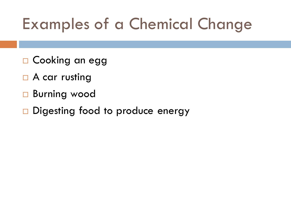### Examples of a Chemical Change

- □ Cooking an egg
- $\Box$  A car rusting
- Burning wood
- Digesting food to produce energy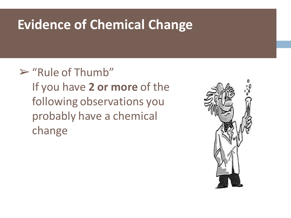### **Evidence of Chemical Change**

 $\triangleright$  "Rule of Thumb" If you have **2 or more** of the following observations you probably have a chemical change

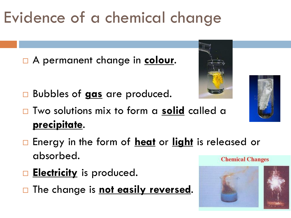# Evidence of a chemical change

A permanent change in **colour**.

- Bubbles of **gas** are produced.
- Two solutions mix to form a **solid** called a **precipitate**.
- Energy in the form of **heat** or **light** is released or absorbed. **Chemical Changes**
- **Electricity** is produced.
- **The change is not easily reversed.**